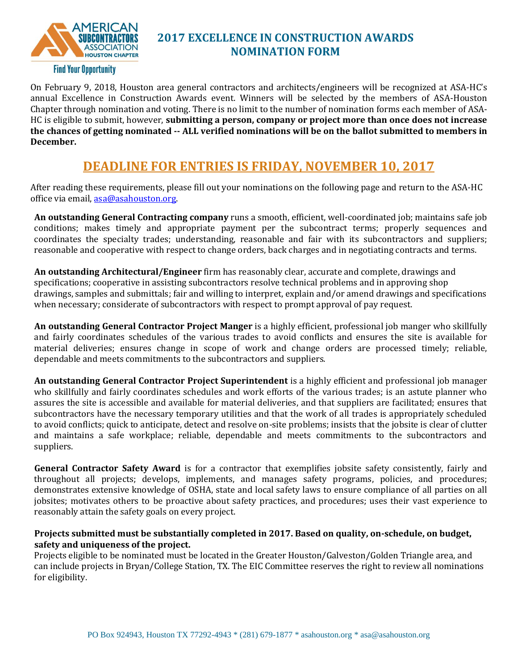

## **2017 EXCELLENCE IN CONSTRUCTION AWARDS NOMINATION FORM**

On February 9, 2018, Houston area general contractors and architects/engineers will be recognized at ASA-HC's annual Excellence in Construction Awards event. Winners will be selected by the members of ASA-Houston Chapter through nomination and voting. There is no limit to the number of nomination forms each member of ASA-HC is eligible to submit, however, **submitting a person, company or project more than once does not increase the chances of getting nominated -- ALL verified nominations will be on the ballot submitted to members in December.**

# **DEADLINE FOR ENTRIES IS FRIDAY, NOVEMBER 10, 2017**

After reading these requirements, please fill out your nominations on the following page and return to the ASA-HC office via email, [asa@asahouston.org.](mailto:asa@asahouston.org)

**An outstanding General Contracting company** runs a smooth, efficient, well-coordinated job; maintains safe job conditions; makes timely and appropriate payment per the subcontract terms; properly sequences and coordinates the specialty trades; understanding, reasonable and fair with its subcontractors and suppliers; reasonable and cooperative with respect to change orders, back charges and in negotiating contracts and terms.

**An outstanding Architectural/Engineer** firm has reasonably clear, accurate and complete, drawings and specifications; cooperative in assisting subcontractors resolve technical problems and in approving shop drawings, samples and submittals; fair and willing to interpret, explain and/or amend drawings and specifications when necessary; considerate of subcontractors with respect to prompt approval of pay request.

**An outstanding General Contractor Project Manger** is a highly efficient, professional job manger who skillfully and fairly coordinates schedules of the various trades to avoid conflicts and ensures the site is available for material deliveries; ensures change in scope of work and change orders are processed timely; reliable, dependable and meets commitments to the subcontractors and suppliers.

**An outstanding General Contractor Project Superintendent** is a highly efficient and professional job manager who skillfully and fairly coordinates schedules and work efforts of the various trades; is an astute planner who assures the site is accessible and available for material deliveries, and that suppliers are facilitated; ensures that subcontractors have the necessary temporary utilities and that the work of all trades is appropriately scheduled to avoid conflicts; quick to anticipate, detect and resolve on-site problems; insists that the jobsite is clear of clutter and maintains a safe workplace; reliable, dependable and meets commitments to the subcontractors and suppliers.

**General Contractor Safety Award** is for a contractor that exemplifies jobsite safety consistently, fairly and throughout all projects; develops, implements, and manages safety programs, policies, and procedures; demonstrates extensive knowledge of OSHA, state and local safety laws to ensure compliance of all parties on all jobsites; motivates others to be proactive about safety practices, and procedures; uses their vast experience to reasonably attain the safety goals on every project.

#### **Projects submitted must be substantially completed in 2017. Based on quality, on-schedule, on budget, safety and uniqueness of the project.**

Projects eligible to be nominated must be located in the Greater Houston/Galveston/Golden Triangle area, and can include projects in Bryan/College Station, TX. The EIC Committee reserves the right to review all nominations for eligibility.